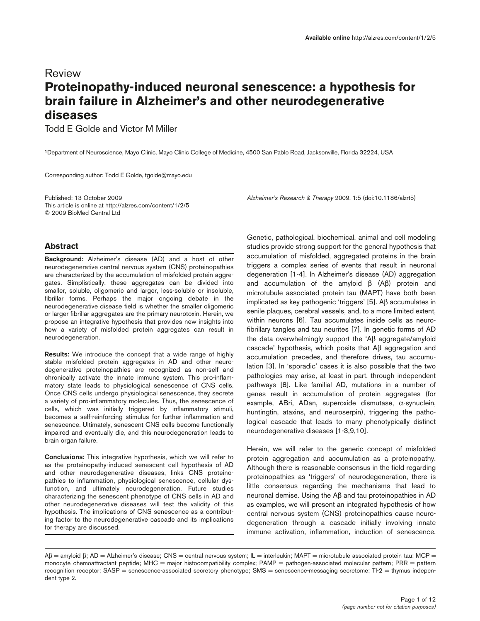# Review **Proteinopathy-induced neuronal senescence: a hypothesis for brain failure in Alzheimer's and other neurodegenerative diseases**

Todd E Golde and Victor M Miller

1Department of Neuroscience, Mayo Clinic, Mayo Clinic College of Medicine, 4500 San Pablo Road, Jacksonville, Florida 32224, USA

Corresponding author: Todd E Golde, tgolde@mayo.edu

This article is online at http://alzres.com/content/1/2/5 © 2009 BioMed Central Ltd

## **Abstract**

**Background:** Alzheimer's disease (AD) and a host of other neurodegenerative central nervous system (CNS) proteinopathies are characterized by the accumulation of misfolded protein aggregates. Simplistically, these aggregates can be divided into smaller, soluble, oligomeric and larger, less-soluble or insoluble, fibrillar forms. Perhaps the major ongoing debate in the neurodegenerative disease field is whether the smaller oligomeric or larger fibrillar aggregates are the primary neurotoxin. Herein, we propose an integrative hypothesis that provides new insights into how a variety of misfolded protein aggregates can result in neurodegeneration.

**Results:** We introduce the concept that a wide range of highly stable misfolded protein aggregates in AD and other neurodegenerative proteinopathies are recognized as non-self and chronically activate the innate immune system. This pro-inflammatory state leads to physiological senescence of CNS cells. Once CNS cells undergo physiological senescence, they secrete a variety of pro-inflammatory molecules. Thus, the senescence of cells, which was initially triggered by inflammatory stimuli, becomes a self-reinforcing stimulus for further inflammation and senescence. Ultimately, senescent CNS cells become functionally impaired and eventually die, and this neurodegeneration leads to brain organ failure.

**Conclusions:** This integrative hypothesis, which we will refer to as the proteinopathy-induced senescent cell hypothesis of AD and other neurodegenerative diseases, links CNS proteinopathies to inflammation, physiological senescence, cellular dysfunction, and ultimately neurodegeneration. Future studies characterizing the senescent phenotype of CNS cells in AD and other neurodegenerative diseases will test the validity of this hypothesis. The implications of CNS senescence as a contributing factor to the neurodegenerative cascade and its implications for therapy are discussed.

Published: 13 October 2009 *Alzheimer's Research & Therapy* 2009, **1:**5 (doi:10.1186/alzrt5)

Genetic, pathological, biochemical, animal and cell modeling studies provide strong support for the general hypothesis that accumulation of misfolded, aggregated proteins in the brain triggers a complex series of events that result in neuronal degeneration [1-4]. In Alzheimer's disease (AD) aggregation and accumulation of the amyloid  $\beta$  (A $\beta$ ) protein and microtubule associated protein tau (MAPT) have both been implicated as key pathogenic 'triggers' [5]. Aβ accumulates in senile plaques, cerebral vessels, and, to a more limited extent, within neurons [6]. Tau accumulates inside cells as neurofibrillary tangles and tau neurites [7]. In genetic forms of AD the data overwhelmingly support the 'Aβ aggregate/amyloid cascade' hypothesis, which posits that Aβ aggregation and accumulation precedes, and therefore drives, tau accumulation [3]. In 'sporadic' cases it is also possible that the two pathologies may arise, at least in part, through independent pathways [8]. Like familial AD, mutations in a number of genes result in accumulation of protein aggregates (for example, ABri, ADan, superoxide dismutase, α-synuclein, huntingtin, ataxins, and neuroserpin), triggering the pathological cascade that leads to many phenotypically distinct neurodegenerative diseases [1-3,9,10].

Herein, we will refer to the generic concept of misfolded protein aggregation and accumulation as a proteinopathy. Although there is reasonable consensus in the field regarding proteinopathies as 'triggers' of neurodegeneration, there is little consensus regarding the mechanisms that lead to neuronal demise. Using the Aβ and tau proteinopathies in AD as examples, we will present an integrated hypothesis of how central nervous system (CNS) proteinopathies cause neurodegeneration through a cascade initially involving innate immune activation, inflammation, induction of senescence,

Aβ = amyloid β; AD = Alzheimer's disease; CNS = central nervous system; IL = interleukin; MAPT = microtubule associated protein tau; MCP = monocyte chemoattractant peptide; MHC = major histocompatibility complex; PAMP = pathogen-associated molecular pattern; PRR = pattern recognition receptor; SASP = senescence-associated secretory phenotype; SMS = senescence-messaging secretome; TI-2 = thymus independent type 2.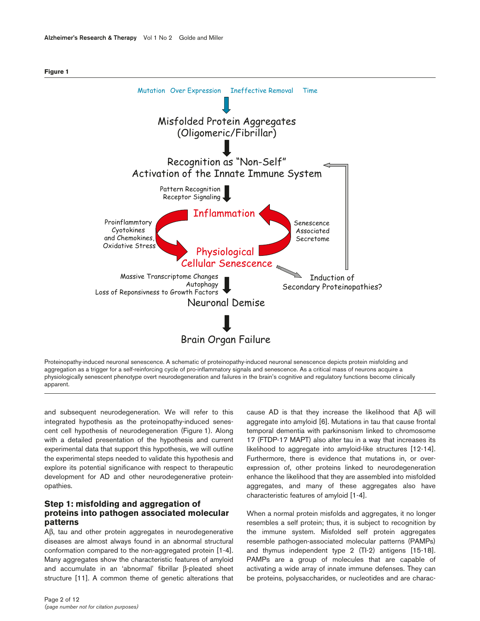



Proteinopathy-induced neuronal senescence. A schematic of proteinopathy-induced neuronal senescence depicts protein misfolding and aggregation as a trigger for a self-reinforcing cycle of pro-inflammatory signals and senescence. As a critical mass of neurons acquire a physiologically senescent phenotype overt neurodegeneration and failures in the brain's cognitive and regulatory functions become clinically apparent.

and subsequent neurodegeneration. We will refer to this integrated hypothesis as the proteinopathy-induced senescent cell hypothesis of neurodegeneration (Figure 1). Along with a detailed presentation of the hypothesis and current experimental data that support this hypothesis, we will outline the experimental steps needed to validate this hypothesis and explore its potential significance with respect to therapeutic development for AD and other neurodegenerative proteinopathies.

## **Step 1: misfolding and aggregation of proteins into pathogen associated molecular patterns**

Aβ, tau and other protein aggregates in neurodegenerative diseases are almost always found in an abnormal structural conformation compared to the non-aggregated protein [1-4]. Many aggregates show the characteristic features of amyloid and accumulate in an 'abnormal' fibrillar β-pleated sheet structure [11]. A common theme of genetic alterations that cause AD is that they increase the likelihood that Aβ will aggregate into amyloid [6]. Mutations in tau that cause frontal temporal dementia with parkinsonism linked to chromosome 17 (FTDP-17 MAPT) also alter tau in a way that increases its likelihood to aggregate into amyloid-like structures [12-14]. Furthermore, there is evidence that mutations in, or overexpression of, other proteins linked to neurodegeneration enhance the likelihood that they are assembled into misfolded aggregates, and many of these aggregates also have characteristic features of amyloid [1-4].

When a normal protein misfolds and aggregates, it no longer resembles a self protein; thus, it is subject to recognition by the immune system. Misfolded self protein aggregates resemble pathogen-associated molecular patterns (PAMPs) and thymus independent type 2 (TI-2) antigens [15-18]. PAMPs are a group of molecules that are capable of activating a wide array of innate immune defenses. They can be proteins, polysaccharides, or nucleotides and are charac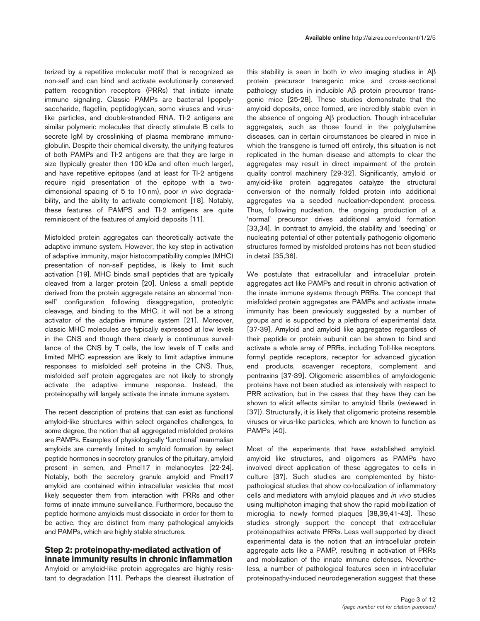terized by a repetitive molecular motif that is recognized as non-self and can bind and activate evolutionarily conserved pattern recognition receptors (PRRs) that initiate innate immune signaling. Classic PAMPs are bacterial lipopolysaccharide, flagellin, peptidoglycan, some viruses and viruslike particles, and double-stranded RNA. TI-2 antigens are similar polymeric molecules that directly stimulate B cells to secrete IgM by crosslinking of plasma membrane immunoglobulin. Despite their chemical diversity, the unifying features of both PAMPs and TI-2 antigens are that they are large in size (typically greater then 100 kDa and often much larger). and have repetitive epitopes (and at least for TI-2 antigens require rigid presentation of the epitope with a twodimensional spacing of 5 to 10 nm), poor *in vivo* degradability, and the ability to activate complement [18]. Notably, these features of PAMPS and TI-2 antigens are quite reminiscent of the features of amyloid deposits [11].

Misfolded protein aggregates can theoretically activate the adaptive immune system. However, the key step in activation of adaptive immunity, major histocompatibility complex (MHC) presentation of non-self peptides, is likely to limit such activation [19]. MHC binds small peptides that are typically cleaved from a larger protein [20]. Unless a small peptide derived from the protein aggregate retains an abnormal 'nonself' configuration following disaggregation, proteolytic cleavage, and binding to the MHC, it will not be a strong activator of the adaptive immune system [21]. Moreover, classic MHC molecules are typically expressed at low levels in the CNS and though there clearly is continuous surveillance of the CNS by T cells, the low levels of T cells and limited MHC expression are likely to limit adaptive immune responses to misfolded self proteins in the CNS. Thus, misfolded self protein aggregates are not likely to strongly activate the adaptive immune response. Instead, the proteinopathy will largely activate the innate immune system.

The recent description of proteins that can exist as functional amyloid-like structures within select organelles challenges, to some degree, the notion that all aggregated misfolded proteins are PAMPs. Examples of physiologically 'functional' mammalian amyloids are currently limited to amyloid formation by select peptide hormones in secretory granules of the pituitary, amyloid present in semen, and Pmel17 in melanocytes [22-24]. Notably, both the secretory granule amyloid and Pmel17 amyloid are contained within intracellular vesicles that most likely sequester them from interaction with PRRs and other forms of innate immune surveillance. Furthermore, because the peptide hormone amyloids must dissociate in order for them to be active, they are distinct from many pathological amyloids and PAMPs, which are highly stable structures.

## **Step 2: proteinopathy-mediated activation of innate immunity results in chronic inflammation**

Amyloid or amyloid-like protein aggregates are highly resistant to degradation [11]. Perhaps the clearest illustration of this stability is seen in both *in vivo* imaging studies in Aβ protein precursor transgenic mice and cross-sectional pathology studies in inducible Aβ protein precursor transgenic mice [25-28]. These studies demonstrate that the amyloid deposits, once formed, are incredibly stable even in the absence of ongoing Aβ production. Though intracellular aggregates, such as those found in the polyglutamine diseases, can in certain circumstances be cleared in mice in which the transgene is turned off entirely, this situation is not replicated in the human disease and attempts to clear the aggregates may result in direct impairment of the protein quality control machinery [29-32]. Significantly, amyloid or amyloid-like protein aggregates catalyze the structural conversion of the normally folded protein into additional aggregates via a seeded nucleation-dependent process. Thus, following nucleation, the ongoing production of a 'normal' precursor drives additional amyloid formation [33,34]. In contrast to amyloid, the stability and 'seeding' or nucleating potential of other potentially pathogenic oligomeric structures formed by misfolded proteins has not been studied in detail [35,36].

We postulate that extracellular and intracellular protein aggregates act like PAMPs and result in chronic activation of the innate immune systems through PRRs. The concept that misfolded protein aggregates are PAMPs and activate innate immunity has been previously suggested by a number of groups and is supported by a plethora of experimental data [37-39]. Amyloid and amyloid like aggregates regardless of their peptide or protein subunit can be shown to bind and activate a whole array of PRRs, including Toll-like receptors, formyl peptide receptors, receptor for advanced glycation end products, scavenger receptors, complement and pentraxins [37-39]. Oligomeric assemblies of amyloidogenic proteins have not been studied as intensively with respect to PRR activation, but in the cases that they have they can be shown to elicit effects similar to amyloid fibrils (reviewed in [37]). Structurally, it is likely that oligomeric proteins resemble viruses or virus-like particles, which are known to function as PAMPs [40].

Most of the experiments that have established amyloid, amyloid like structures, and oligomers as PAMPs have involved direct application of these aggregates to cells in culture [37]. Such studies are complemented by histopathological studies that show co-localization of inflammatory cells and mediators with amyloid plaques and *in vivo* studies using multiphoton imaging that show the rapid mobilization of microglia to newly formed plaques [38,39,41-43]. These studies strongly support the concept that extracellular proteinopathies activate PRRs. Less well supported by direct experimental data is the notion that an intracellular protein aggregate acts like a PAMP, resulting in activation of PRRs and mobilization of the innate immune defenses. Nevertheless, a number of pathological features seen in intracellular proteinopathy-induced neurodegeneration suggest that these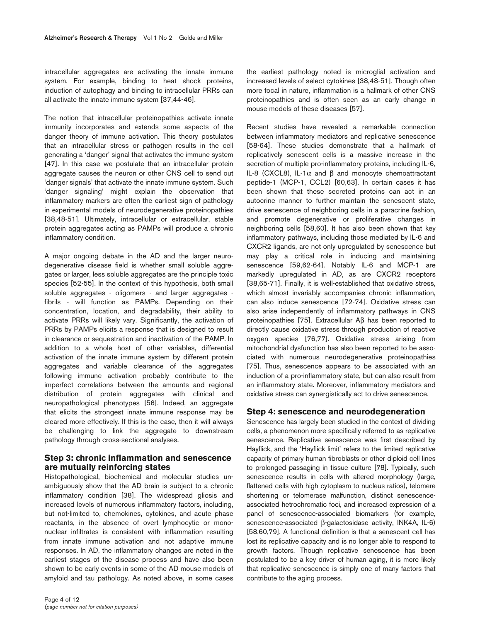intracellular aggregates are activating the innate immune system. For example, binding to heat shock proteins, induction of autophagy and binding to intracellular PRRs can all activate the innate immune system [37,44-46].

The notion that intracellular proteinopathies activate innate immunity incorporates and extends some aspects of the danger theory of immune activation. This theory postulates that an intracellular stress or pathogen results in the cell generating a 'danger' signal that activates the immune system [47]. In this case we postulate that an intracellular protein aggregate causes the neuron or other CNS cell to send out 'danger signals' that activate the innate immune system. Such 'danger signaling' might explain the observation that inflammatory markers are often the earliest sign of pathology in experimental models of neurodegenerative proteinopathies [38,48-51]. Ultimately, intracellular or extracellular, stable protein aggregates acting as PAMPs will produce a chronic inflammatory condition.

A major ongoing debate in the AD and the larger neurodegenerative disease field is whether small soluble aggregates or larger, less soluble aggregates are the principle toxic species [52-55]. In the context of this hypothesis, both small soluble aggregates - oligomers - and larger aggregates fibrils - will function as PAMPs. Depending on their concentration, location, and degradability, their ability to activate PRRs will likely vary. Significantly, the activation of PRRs by PAMPs elicits a response that is designed to result in clearance or sequestration and inactivation of the PAMP. In addition to a whole host of other variables, differential activation of the innate immune system by different protein aggregates and variable clearance of the aggregates following immune activation probably contribute to the imperfect correlations between the amounts and regional distribution of protein aggregates with clinical and neuropathological phenotypes [56]. Indeed, an aggregate that elicits the strongest innate immune response may be cleared more effectively. If this is the case, then it will always be challenging to link the aggregate to downstream pathology through cross-sectional analyses.

## **Step 3: chronic inflammation and senescence are mutually reinforcing states**

Histopathological, biochemical and molecular studies unambiguously show that the AD brain is subject to a chronic inflammatory condition [38]. The widespread gliosis and increased levels of numerous inflammatory factors, including, but not-limited to, chemokines, cytokines, and acute phase reactants, in the absence of overt lymphocytic or mononuclear infiltrates is consistent with inflammation resulting from innate immune activation and not adaptive immune responses. In AD, the inflammatory changes are noted in the earliest stages of the disease process and have also been shown to be early events in some of the AD mouse models of amyloid and tau pathology. As noted above, in some cases

the earliest pathology noted is microglial activation and increased levels of select cytokines [38,48-51]. Though often more focal in nature, inflammation is a hallmark of other CNS proteinopathies and is often seen as an early change in mouse models of these diseases [57].

Recent studies have revealed a remarkable connection between inflammatory mediators and replicative senescence [58-64]. These studies demonstrate that a hallmark of replicatively senescent cells is a massive increase in the secretion of multiple pro-inflammatory proteins, including IL-6, IL-8 (CXCL8), IL-1α and β and monocyte chemoattractant peptide-1 (MCP-1, CCL2) [60,63]. In certain cases it has been shown that these secreted proteins can act in an autocrine manner to further maintain the senescent state, drive senescence of neighboring cells in a paracrine fashion, and promote degenerative or proliferative changes in neighboring cells [58,60]. It has also been shown that key inflammatory pathways, including those mediated by IL-6 and CXCR2 ligands, are not only upregulated by senescence but may play a critical role in inducing and maintaining senescence [59,62-64]. Notably IL-6 and MCP-1 are markedly upregulated in AD, as are CXCR2 receptors [38,65-71]. Finally, it is well-established that oxidative stress, which almost invariably accompanies chronic inflammation, can also induce senescence [72-74]. Oxidative stress can also arise independently of inflammatory pathways in CNS proteinopathies [75]. Extracellular Aβ has been reported to directly cause oxidative stress through production of reactive oxygen species [76,77]. Oxidative stress arising from mitochondrial dysfunction has also been reported to be associated with numerous neurodegenerative proteinopathies [75]. Thus, senescence appears to be associated with an induction of a pro-inflammatory state, but can also result from an inflammatory state. Moreover, inflammatory mediators and oxidative stress can synergistically act to drive senescence.

### **Step 4: senescence and neurodegeneration**

Senescence has largely been studied in the context of dividing cells, a phenomenon more specifically referred to as replicative senescence. Replicative senescence was first described by Hayflick, and the 'Hayflick limit' refers to the limited replicative capacity of primary human fibroblasts or other diploid cell lines to prolonged passaging in tissue culture [78]. Typically, such senescence results in cells with altered morphology (large, flattened cells with high cytoplasm to nucleus ratios), telomere shortening or telomerase malfunction, distinct senescenceassociated hetrochromatic foci, and increased expression of a panel of senescence-associated biomarkers (for example, senescence-associated β-galactosidase activity, INK4A, IL-6) [58,60,79]. A functional definition is that a senescent cell has lost its replicative capacity and is no longer able to respond to growth factors. Though replicative senescence has been postulated to be a key driver of human aging, it is more likely that replicative senescence is simply one of many factors that contribute to the aging process.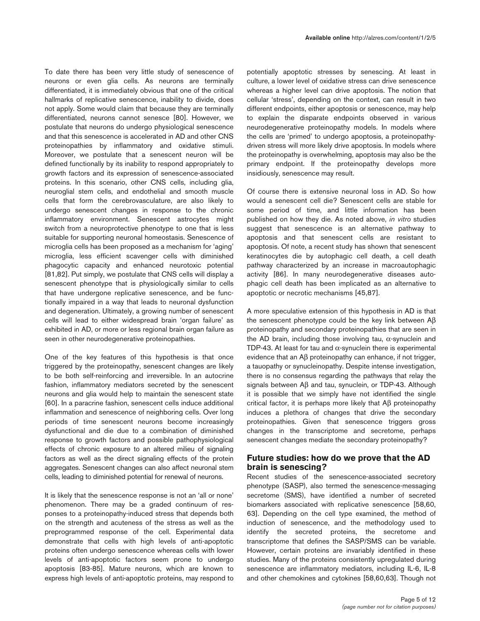To date there has been very little study of senescence of neurons or even glia cells. As neurons are terminally differentiated, it is immediately obvious that one of the critical hallmarks of replicative senescence, inability to divide, does not apply. Some would claim that because they are terminally differentiated, neurons cannot senesce [80]. However, we postulate that neurons do undergo physiological senescence and that this senescence is accelerated in AD and other CNS proteinopathies by inflammatory and oxidative stimuli. Moreover, we postulate that a senescent neuron will be defined functionally by its inability to respond appropriately to growth factors and its expression of senescence-associated proteins. In this scenario, other CNS cells, including glia, neuroglial stem cells, and endothelial and smooth muscle cells that form the cerebrovasculature, are also likely to undergo senescent changes in response to the chronic inflammatory environment. Senescent astrocytes might switch from a neuroprotective phenotype to one that is less suitable for supporting neuronal homeostasis. Senescence of microglia cells has been proposed as a mechanism for 'aging' microglia, less efficient scavenger cells with diminished phagocytic capacity and enhanced neurotoxic potential [81,82]. Put simply, we postulate that CNS cells will display a senescent phenotype that is physiologically similar to cells that have undergone replicative senescence, and be functionally impaired in a way that leads to neuronal dysfunction and degeneration. Ultimately, a growing number of senescent cells will lead to either widespread brain 'organ failure' as exhibited in AD, or more or less regional brain organ failure as seen in other neurodegenerative proteinopathies.

One of the key features of this hypothesis is that once triggered by the proteinopathy, senescent changes are likely to be both self-reinforcing and irreversible. In an autocrine fashion, inflammatory mediators secreted by the senescent neurons and glia would help to maintain the senescent state [60]. In a paracrine fashion, senescent cells induce additional inflammation and senescence of neighboring cells. Over long periods of time senescent neurons become increasingly dysfunctional and die due to a combination of diminished response to growth factors and possible pathophysiological effects of chronic exposure to an altered milieu of signaling factors as well as the direct signaling effects of the protein aggregates. Senescent changes can also affect neuronal stem cells, leading to diminished potential for renewal of neurons.

It is likely that the senescence response is not an 'all or none' phenomenon. There may be a graded continuum of responses to a proteinopathy-induced stress that depends both on the strength and acuteness of the stress as well as the preprogrammed response of the cell. Experimental data demonstrate that cells with high levels of anti-apoptotic proteins often undergo senescence whereas cells with lower levels of anti-apoptotic factors seem prone to undergo apoptosis [83-85]. Mature neurons, which are known to express high levels of anti-apoptotic proteins, may respond to

potentially apoptotic stresses by senescing. At least in culture, a lower level of oxidative stress can drive senescence whereas a higher level can drive apoptosis. The notion that cellular 'stress', depending on the context, can result in two different endpoints, either apoptosis or senescence, may help to explain the disparate endpoints observed in various neurodegenerative proteinopathy models. In models where the cells are 'primed' to undergo apoptosis, a proteinopathydriven stress will more likely drive apoptosis. In models where the proteinopathy is overwhelming, apoptosis may also be the primary endpoint. If the proteinopathy develops more insidiously, senescence may result.

Of course there is extensive neuronal loss in AD. So how would a senescent cell die? Senescent cells are stable for some period of time, and little information has been published on how they die. As noted above, *in vitro* studies suggest that senescence is an alternative pathway to apoptosis and that senescent cells are resistant to apoptosis. Of note, a recent study has shown that senescent keratinocytes die by autophagic cell death, a cell death pathway characterized by an increase in macroautophagic activity [86]. In many neurodegenerative diseases autophagic cell death has been implicated as an alternative to apoptotic or necrotic mechanisms [45,87].

A more speculative extension of this hypothesis in AD is that the senescent phenotype could be the key link between Aβ proteinopathy and secondary proteinopathies that are seen in the AD brain, including those involving tau,  $α$ -synuclein and TDP-43. At least for tau and  $\alpha$ -synuclein there is experimental evidence that an Aβ proteinopathy can enhance, if not trigger, a tauopathy or synucleinopathy. Despite intense investigation, there is no consensus regarding the pathways that relay the signals between Aβ and tau, synuclein, or TDP-43. Although it is possible that we simply have not identified the single critical factor, it is perhaps more likely that Aβ proteinopathy induces a plethora of changes that drive the secondary proteinopathies. Given that senescence triggers gross changes in the transcriptome and secretome, perhaps senescent changes mediate the secondary proteinopathy?

## **Future studies: how do we prove that the AD brain is senescing?**

Recent studies of the senescence-associated secretory phenotype (SASP), also termed the senescence-messaging secretome (SMS), have identified a number of secreted biomarkers associated with replicative senescence [58,60, 63]. Depending on the cell type examined, the method of induction of senescence, and the methodology used to identify the secreted proteins, the secretome and transcriptome that defines the SASP/SMS can be variable. However, certain proteins are invariably identified in these studies. Many of the proteins consistently upregulated during senescence are inflammatory mediators, including IL-6, IL-8 and other chemokines and cytokines [58,60,63]. Though not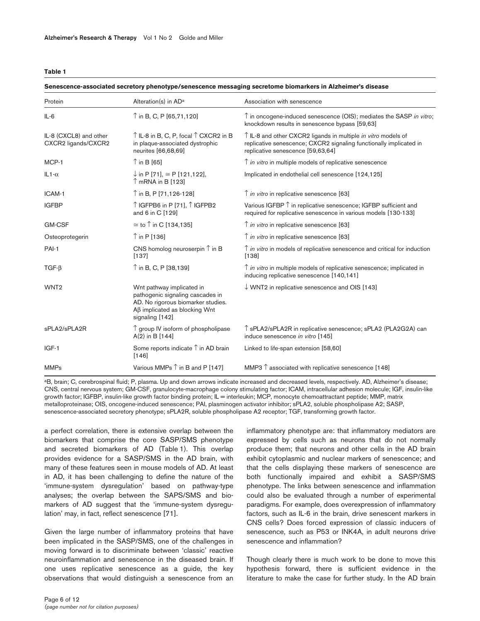**Table 1**

**Senescence-associated secretory phenotype/senescence messaging secretome biomarkers in Alzheimer's disease**

| Protein                                       | Alteration(s) in AD <sup>a</sup>                                                                                                                              | Association with senescence                                                                                                                                                     |
|-----------------------------------------------|---------------------------------------------------------------------------------------------------------------------------------------------------------------|---------------------------------------------------------------------------------------------------------------------------------------------------------------------------------|
| $IL-6$                                        | ↑ in B, C, P [65,71,120]                                                                                                                                      | $\hat{\Gamma}$ in oncogene-induced senescence (OIS); mediates the SASP in vitro;<br>knockdown results in senescence bypass [59,63]                                              |
| IL-8 (CXCL8) and other<br>CXCR2 ligands/CXCR2 | $\uparrow$ IL-8 in B, C, P, focal $\uparrow$ CXCR2 in B<br>in plaque-associated dystrophic<br>neurites [66,68,69]                                             | T IL-8 and other CXCR2 ligands in multiple <i>in vitro</i> models of<br>replicative senescence; CXCR2 signaling functionally implicated in<br>replicative senescence [59,63,64] |
| MCP-1                                         | ↑ in B [65]                                                                                                                                                   | ↑ in vitro in multiple models of replicative senescence                                                                                                                         |
| $IL1-\alpha$                                  | ↓ in P [71], $\cong$ P [121,122],<br>$\uparrow$ mRNA in B [123]                                                                                               | Implicated in endothelial cell senescence [124,125]                                                                                                                             |
| ICAM-1                                        | ↑ in B, P [71,126-128]                                                                                                                                        | 1 <i>in vitro</i> in replicative senescence [63]                                                                                                                                |
| <b>IGFBP</b>                                  | $\uparrow$ IGFPB6 in P [71], $\uparrow$ IGFPB2<br>and 6 in C [129]                                                                                            | Various IGFBP 1 in replicative senescence; IGFBP sufficient and<br>required for replicative senescence in various models [130-133]                                              |
| <b>GM-CSF</b>                                 | $\approx$ to $\uparrow$ in C [134,135]                                                                                                                        | 1 <i>in vitro</i> in replicative senescence [63]                                                                                                                                |
| Osteoprotegerin                               | ↑ in P [136]                                                                                                                                                  | 1 <i>in vitro</i> in replicative senescence [63]                                                                                                                                |
| PAI-1                                         | CNS homolog neuroserpin $\uparrow$ in B<br>[137]                                                                                                              | $\hat{I}$ in vitro in models of replicative senescence and critical for induction<br>[138]                                                                                      |
| $TGF-B$                                       | ↑ in B, C, P [38,139]                                                                                                                                         | $\hat{\uparrow}$ in vitro in multiple models of replicative senescence; implicated in<br>inducing replicative senescence [140,141]                                              |
| WNT <sub>2</sub>                              | Wnt pathway implicated in<br>pathogenic signaling cascades in<br>AD. No rigorous biomarker studies.<br>$A\beta$ implicated as blocking Wnt<br>signaling [142] | $\downarrow$ WNT2 in replicative senescence and OIS [143]                                                                                                                       |
| sPLA2/sPLA2R                                  | ↑ group IV isoform of phospholipase<br>$A(2)$ in B [144]                                                                                                      | 1 sPLA2/sPLA2R in replicative senescence; sPLA2 (PLA2G2A) can<br>induce senescence in vitro [145]                                                                               |
| $IGF-1$                                       | Some reports indicate 1 in AD brain<br>$[146]$                                                                                                                | Linked to life-span extension [58,60]                                                                                                                                           |
| <b>MMPs</b>                                   | Various MMPs 1 in B and P [147]                                                                                                                               | MMP3 $\uparrow$ associated with replicative senescence [148]                                                                                                                    |

aB, brain; C, cerebrospinal fluid; P, plasma. Up and down arrows indicate increased and decreased levels, respectively. AD, Alzheimer's disease; CNS, central nervous system; GM-CSF, granulocyte-macrophage colony stimulating factor; ICAM, intracellular adhesion molecule; IGF, insulin-like growth factor; IGFBP, insulin-like growth factor binding protein; IL = interleukin; MCP, monocyte chemoattractant peptide; MMP, matrix metalloproteinase; OIS, oncogene-induced senescence; PAI, plasminogen activator inhibitor; sPLA2, soluble phospholipase A2; SASP, senescence-associated secretory phenotype; sPLA2R, soluble phospholipase A2 receptor; TGF, transforming growth factor.

a perfect correlation, there is extensive overlap between the biomarkers that comprise the core SASP/SMS phenotype and secreted biomarkers of AD (Table 1). This overlap provides evidence for a SASP/SMS in the AD brain, with many of these features seen in mouse models of AD. At least in AD, it has been challenging to define the nature of the 'immune-system dysregulation' based on pathway-type analyses; the overlap between the SAPS/SMS and biomarkers of AD suggest that the 'immune-system dysregulation' may, in fact, reflect senescence [71].

Given the large number of inflammatory proteins that have been implicated in the SASP/SMS, one of the challenges in moving forward is to discriminate between 'classic' reactive neuroinflammation and senescence in the diseased brain. If one uses replicative senescence as a guide, the key observations that would distinguish a senescence from an

inflammatory phenotype are: that inflammatory mediators are expressed by cells such as neurons that do not normally produce them; that neurons and other cells in the AD brain exhibit cytoplasmic and nuclear markers of senescence; and that the cells displaying these markers of senescence are both functionally impaired and exhibit a SASP/SMS phenotype. The links between senescence and inflammation could also be evaluated through a number of experimental paradigms. For example, does overexpression of inflammatory factors, such as IL-6 in the brain, drive senescent markers in CNS cells? Does forced expression of classic inducers of senescence, such as P53 or INK4A, in adult neurons drive senescence and inflammation?

Though clearly there is much work to be done to move this hypothesis forward, there is sufficient evidence in the literature to make the case for further study. In the AD brain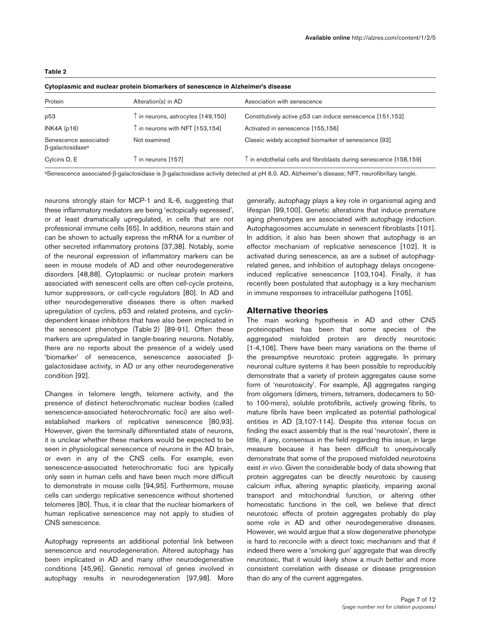#### **Table 2**

| Cytopiasmic and nuclear protein biomarkers of senescence in Alzheimer's disease |                                             |                                                                             |
|---------------------------------------------------------------------------------|---------------------------------------------|-----------------------------------------------------------------------------|
| Protein                                                                         | Alteration(s) in AD                         | Association with senescence                                                 |
| p <sub>53</sub>                                                                 | $\uparrow$ in neurons, astrocytes [149,150] | Constitutively active p53 can induce senescence [151,152]                   |
| INK4A (p16)                                                                     | $\uparrow$ in neurons with NFT [153,154]    | Activated in senescence [155,156]                                           |
| Senescence associated-<br>$\beta$ -galactosidase <sup>a</sup>                   | Not examined                                | Classic widely accepted biomarker of senescence [92]                        |
| Cylcins D, E                                                                    | $\uparrow$ in neurons [157]                 | $\uparrow$ in endothelial cells and fibroblasts during senescence [158,159] |

**Cytoplasmic and nuclear protein biomarkers of senescence in Alzheimer's disease**

aSenescence associated-β-galactosidase is β-galactosidase activity detected at pH 6.0. AD, Alzheimer's disease; NFT, neurofibrillary tangle.

neurons strongly stain for MCP-1 and IL-6, suggesting that these inflammatory mediators are being 'ectopically expressed', or at least dramatically upregulated, in cells that are not professional immune cells [65]. In addition, neurons stain and can be shown to actually express the mRNA for a number of other secreted inflammatory proteins [37,38]. Notably, some of the neuronal expression of inflammatory markers can be seen in mouse models of AD and other neurodegenerative disorders [48,88]. Cytoplasmic or nuclear protein markers associated with senescent cells are often cell-cycle proteins, tumor suppressors, or cell-cycle regulators [80]. In AD and other neurodegenerative diseases there is often marked upregulation of cyclins, p53 and related proteins, and cyclindependent kinase inhibitors that have also been implicated in the senescent phenotype (Table 2) [89-91]. Often these markers are upregulated in tangle-bearing neurons. Notably, there are no reports about the presence of a widely used 'biomarker' of senescence, senescence associated βgalactosidase activity, in AD or any other neurodegenerative condition [92].

Changes in telomere length, telomere activity, and the presence of distinct heterochromatic nuclear bodies (called senescence-associated heterochromatic foci) are also wellestablished markers of replicative senescence [80,93]. However, given the terminally differentiated state of neurons, it is unclear whether these markers would be expected to be seen in physiological senescence of neurons in the AD brain, or even in any of the CNS cells. For example, even senescence-associated heterochromatic foci are typically only seen in human cells and have been much more difficult to demonstrate in mouse cells [94,95]. Furthermore, mouse cells can undergo replicative senescence without shortened telomeres [80]. Thus, it is clear that the nuclear biomarkers of human replicative senescence may not apply to studies of CNS senescence.

Autophagy represents an additional potential link between senescence and neurodegeneration. Altered autophagy has been implicated in AD and many other neurodegenerative conditions [45,96]. Genetic removal of genes involved in autophagy results in neurodegeneration [97,98]. More

generally, autophagy plays a key role in organismal aging and lifespan [99,100]. Genetic alterations that induce premature aging phenotypes are associated with autophagy induction. Autophagosomes accumulate in senescent fibroblasts [101]. In addition, it also has been shown that autophagy is an effector mechanism of replicative senescence [102]. It is activated during senescence, as are a subset of autophagyrelated genes, and inhibition of autophagy delays oncogeneinduced replicative senescence [103,104]. Finally, it has recently been postulated that autophagy is a key mechanism in immune responses to intracellular pathogens [105].

#### **Alternative theories**

The main working hypothesis in AD and other CNS proteinopathies has been that some species of the aggregated misfolded protein are directly neurotoxic [1-4,106]. There have been many variations on the theme of the presumptive neurotoxic protein aggregate. In primary neuronal culture systems it has been possible to reproducibly demonstrate that a variety of protein aggregates cause some form of 'neurotoxicity'. For example, Aβ aggregates ranging from oligomers (dimers, trimers, tetramers, dodecamers to 50 to 100-mers), soluble protofibrils, actively growing fibrils, to mature fibrils have been implicated as potential pathological entities in AD [3,107-114]. Despite this intense focus on finding the exact assembly that is the real 'neurotoxin', there is little, if any, consensus in the field regarding this issue, in large measure because it has been difficult to unequivocally demonstrate that some of the proposed misfolded neurotoxins exist *in vivo*. Given the considerable body of data showing that protein aggregates can be directly neurotoxic by causing calcium influx, altering synaptic plasticity, impairing axonal transport and mitochondrial function, or altering other homeostatic functions in the cell, we believe that direct neurotoxic effects of protein aggregates probably do play some role in AD and other neurodegenerative diseases. However, we would argue that a slow degenerative phenotype is hard to reconcile with a direct toxic mechanism and that if indeed there were a 'smoking gun' aggregate that was directly neurotoxic, that it would likely show a much better and more consistent correlation with disease or disease progression than do any of the current aggregates.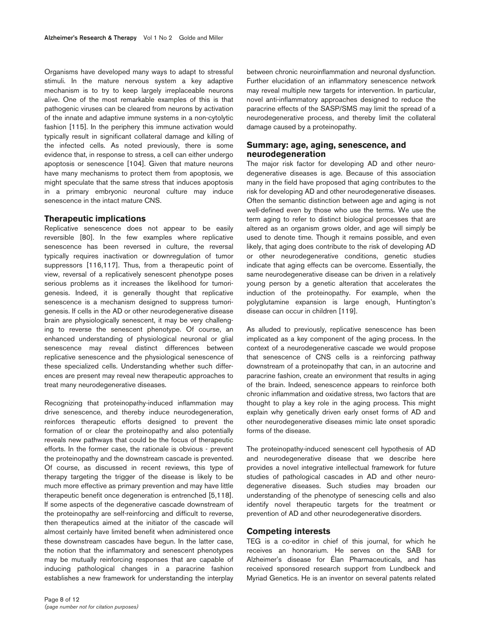Organisms have developed many ways to adapt to stressful stimuli. In the mature nervous system a key adaptive mechanism is to try to keep largely irreplaceable neurons alive. One of the most remarkable examples of this is that pathogenic viruses can be cleared from neurons by activation of the innate and adaptive immune systems in a non-cytolytic fashion [115]. In the periphery this immune activation would typically result in significant collateral damage and killing of the infected cells. As noted previously, there is some evidence that, in response to stress, a cell can either undergo apoptosis or senescence [104]. Given that mature neurons have many mechanisms to protect them from apoptosis, we might speculate that the same stress that induces apoptosis in a primary embryonic neuronal culture may induce senescence in the intact mature CNS.

#### **Therapeutic implications**

Replicative senescence does not appear to be easily reversible [80]. In the few examples where replicative senescence has been reversed in culture, the reversal typically requires inactivation or downregulation of tumor suppressors [116,117]. Thus, from a therapeutic point of view, reversal of a replicatively senescent phenotype poses serious problems as it increases the likelihood for tumorigenesis. Indeed, it is generally thought that replicative senescence is a mechanism designed to suppress tumorigenesis. If cells in the AD or other neurodegenerative disease brain are physiologically senescent, it may be very challenging to reverse the senescent phenotype. Of course, an enhanced understanding of physiological neuronal or glial senescence may reveal distinct differences between replicative senescence and the physiological senescence of these specialized cells. Understanding whether such differences are present may reveal new therapeutic approaches to treat many neurodegenerative diseases.

Recognizing that proteinopathy-induced inflammation may drive senescence, and thereby induce neurodegeneration, reinforces therapeutic efforts designed to prevent the formation of or clear the proteinopathy and also potentially reveals new pathways that could be the focus of therapeutic efforts. In the former case, the rationale is obvious - prevent the proteinopathy and the downstream cascade is prevented. Of course, as discussed in recent reviews, this type of therapy targeting the trigger of the disease is likely to be much more effective as primary prevention and may have little therapeutic benefit once degeneration is entrenched [5,118]. If some aspects of the degenerative cascade downstream of the proteinopathy are self-reinforcing and difficult to reverse, then therapeutics aimed at the initiator of the cascade will almost certainly have limited benefit when administered once these downstream cascades have begun. In the latter case, the notion that the inflammatory and senescent phenotypes may be mutually reinforcing responses that are capable of inducing pathological changes in a paracrine fashion establishes a new framework for understanding the interplay

between chronic neuroinflammation and neuronal dysfunction. Further elucidation of an inflammatory senescence network may reveal multiple new targets for intervention. In particular, novel anti-inflammatory approaches designed to reduce the paracrine effects of the SASP/SMS may limit the spread of a neurodegenerative process, and thereby limit the collateral damage caused by a proteinopathy.

## **Summary: age, aging, senescence, and neurodegeneration**

The major risk factor for developing AD and other neurodegenerative diseases is age. Because of this association many in the field have proposed that aging contributes to the risk for developing AD and other neurodegenerative diseases. Often the semantic distinction between age and aging is not well-defined even by those who use the terms. We use the term aging to refer to distinct biological processes that are altered as an organism grows older, and age will simply be used to denote time. Though it remains possible, and even likely, that aging does contribute to the risk of developing AD or other neurodegenerative conditions, genetic studies indicate that aging effects can be overcome. Essentially, the same neurodegenerative disease can be driven in a relatively young person by a genetic alteration that accelerates the induction of the proteinopathy. For example, when the polyglutamine expansion is large enough, Huntington's disease can occur in children [119].

As alluded to previously, replicative senescence has been implicated as a key component of the aging process. In the context of a neurodegenerative cascade we would propose that senescence of CNS cells is a reinforcing pathway downstream of a proteinopathy that can, in an autocrine and paracrine fashion, create an environment that results in aging of the brain. Indeed, senescence appears to reinforce both chronic inflammation and oxidative stress, two factors that are thought to play a key role in the aging process. This might explain why genetically driven early onset forms of AD and other neurodegenerative diseases mimic late onset sporadic forms of the disease.

The proteinopathy-induced senescent cell hypothesis of AD and neurodegenerative disease that we describe here provides a novel integrative intellectual framework for future studies of pathological cascades in AD and other neurodegenerative diseases. Such studies may broaden our understanding of the phenotype of senescing cells and also identify novel therapeutic targets for the treatment or prevention of AD and other neurodegenerative disorders.

#### **Competing interests**

TEG is a co-editor in chief of this journal, for which he receives an honorarium. He serves on the SAB for Alzheimer's disease for Élan Pharmaceuticals, and has received sponsored research support from Lundbeck and Myriad Genetics. He is an inventor on several patents related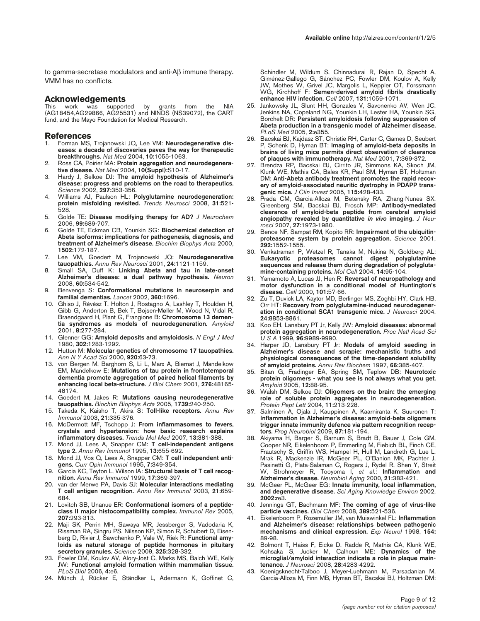to gamma-secretase modulators and anti-Aβ immune therapy. VMM has no conflicts.

#### **Acknowledgements**

This work was supported by grants from the NIA (AG18454,AG29866, AG25531) and NINDS (NS39072), the CART fund, and the Mayo Foundation for Medical Research.

#### **References**

- 1. Forman MS, Trojanowski JQ, Lee VM: **Neurodegenerative diseases: a decade of discoveries paves the way for therapeutic breakthroughs.** *Nat Med* 2004, **10:**1055-1063.
- 2. Ross CA, Poirier MA: **Protein aggregation and neurodegenerative disease.** *Nat Med* 2004, **10(Suppl):**S10-17.
- 3. Hardy J, Selkoe DJ: **The amyloid hypothesis of Alzheimer's disease: progress and problems on the road to therapeutics.** *Science* 2002, **297:**353-356.
- 4. Williams AJ, Paulson HL: **Polyglutamine neurodegeneration: protein misfolding revisited.** *Trends Neurosci* 2008, **31:**521- 528.
- 5. Golde TE: **Disease modifying therapy for AD?** *J Neurochem* 2006, **99:**689-707.
- 6. Golde TE, Eckman CB, Younkin SG: **Biochemical detection of Abeta isoforms: implications for pathogenesis, diagnosis, and treatment of Alzheimer's disease.** *Biochim Biophys Acta* 2000, **1502:**172-187.
- 7. Lee VM, Goedert M, Trojanowski JQ: **Neurodegenerative tauopathies.** *Annu Rev Neurosci* 2001, **24:**1121-1159.
- 8. Small SA, Duff K: **Linking Abeta and tau in late-onset Alzheimer's disease: a dual pathway hypothesis.** *Neuron* 2008, **60:**534-542.
- 9. Benvenga S: **Conformational mutations in neuroserpin and familial dementias.** *Lancet* 2002, **360:**1696.
- 10. Ghiso J, Révész T, Holton J, Rostagno A, Lashley T, Houlden H, Gibb G, Anderton B, Bek T, Bojsen-Møller M, Wood N, Vidal R, Braendgaard H, Plant G, Frangione B: **Chromosome 13 dementia syndromes as models of neurodegeneration.** *Amyloid* 2001, **8:**277-284.
- 11. Glenner GG: **Amyloid deposits and amyloidosis.** *N Engl J Med* 1980, **302:**1283-1292.
- 12. Hutton M: **Molecular genetics of chromosome 17 tauopathies.** *Ann N Y Acad Sci* 2000, **920:**63-73.
- 13. von Bergen M, Barghorn S, Li L, Marx A, Biernat J, Mandelkow EM, Mandelkow E: **Mutations of tau protein in frontotemporal dementia promote aggregation of paired helical filaments by enhancing local beta-structure.** *J Biol Chem* 2001, **276:**48165- 48174.
- 14. Goedert M, Jakes R: **Mutations causing neurodegenerative tauopathies.** *Biochim Biophys Acta* 2005, **1739:**240-250.
- 15. Takeda K, Kaisho T, Akira S: **Toll-like receptors.** *Annu Rev Immunol* 2003, **21:**335-376.
- 16. McDermott MF, Tschopp J: **From inflammasomes to fevers, crystals and hypertension: how basic research explains inflammatory diseases.** *Trends Mol Med* 2007, **13:**381-388.
- 17. Mond JJ, Lees A, Snapper CM: **T cell-independent antigens type 2.** *Annu Rev Immunol* 1995, **13:**655-692.
- 18. Mond JJ, Vos Q, Lees A, Snapper CM: **T cell independent antigens.** *Curr Opin Immunol* 1995, **7:**349-354.
- 19. Garcia KC, Teyton L, Wilson IA: **Structural basis of T cell recognition.** *Annu Rev Immunol* 1999, **17:**369-397.
- 20. van der Merwe PA, Davis SJ: **Molecular interactions mediating T cell antigen recognition.** *Annu Rev Immunol* 2003, **21:**659- 684.
- 21. Lovitch SB, Unanue ER: **Conformational isomers of a peptideclass II major histocompatibility complex.** *Immunol Rev* 2005, **207:**293-313.
- 22. Maji SK, Perrin MH, Sawaya MR, Jessberger S, Vadodaria K, Rissman RA, Singru PS, Nilsson KP, Simon R, Schubert D, Eisenberg D, Rivier J, Sawchenko P, Vale W, Riek R: **Functional amyloids as natural storage of peptide hormones in pituitary secretory granules.** *Science* 2009, **325:**328-332.
- 23. Fowler DM, Koulov AV, Alory-Jost C, Marks MS, Balch WE, Kelly JW: **Functional amyloid formation within mammalian tissue.** *PLoS Biol* 2006, **4:**e6.
- 24. Münch J, Rücker E, Ständker L, Adermann K, Goffinet C,

Schindler M, Wildum S, Chinnadurai R, Rajan D, Specht A, Giménez-Gallego G, Sánchez PC, Fowler DM, Koulov A, Kelly JW, Mothes W, Grivel JC, Margolis L, Keppler OT, Forssmann WG, Kirchhoff F: **Semen-derived amyloid fibrils drastically enhance HIV infection.** *Cell* 2007, **131:**1059-1071.

- 25. Jankowsky JL, Slunt HH, Gonzales V, Savonenko AV, Wen JC, Jenkins NA, Copeland NG, Younkin LH, Lester HA, Younkin SG, Borchelt DR: **Persistent amyloidosis following suppression of Abeta production in a transgenic model of Alzheimer disease.** *PLoS Med* 2005, **2:**e355.
- 26. Bacskai BJ, Kajdasz ST, Christie RH, Carter C, Games D, Seubert P, Schenk D, Hyman BT: **Imaging of amyloid-beta deposits in brains of living mice permits direct observation of clearance of plaques with immunotherapy.** *Nat Med* 2001, **7:**369-372.
- 27. Brendza RP, Bacskai BJ, Cirrito JR, Simmons KA, Skoch JM, Klunk WE, Mathis CA, Bales KR, Paul SM, Hyman BT, Holtzman DM: **Anti-Abeta antibody treatment promotes the rapid recovery of amyloid-associated neuritic dystrophy in PDAPP transgenic mice.** *J Clin Invest* 2005, **115:**428-433.
- 28. Prada CM, Garcia-Alloza M, Betensky RA, Zhang-Nunes SX, Greenberg SM, Bacskai BJ, Frosch MP: **Antibody-mediated clearance of amyloid-beta peptide from cerebral amyloid angiopathy revealed by quantitative** *in vivo* **imaging.** *J Neurosci* 2007, **27:**1973-1980.
- 29. Bence NF, Sampat RM, Kopito RR: **Impairment of the ubiquitinproteasome system by protein aggregation.** *Science* 2001, **292:**1552-1555.
- 30. Venkatraman P, Wetzel R, Tanaka M, Nukina N, Goldberg AL: **Eukaryotic proteasomes cannot digest polyglutamine sequences and release them during degradation of polyglutamine-containing proteins.** *Mol Cell* 2004, **14:**95-104.
- 31. Yamamoto A, Lucas JJ, Hen R: **Reversal of neuropathology and motor dysfunction in a conditional model of Huntington's disease.** *Cell* 2000, **101:**57-66.
- 32. Zu T, Duvick LA, Kaytor MD, Berlinger MS, Zoghbi HY, Clark HB, Orr HT: **Recovery from polyglutamine-induced neurodegeneration in conditional SCA1 transgenic mice.** *J Neurosci* 2004, **24:**8853-8861.
- 33. Koo EH, Lansbury PT Jr, Kelly JW: **Amyloid diseases: abnormal protein aggregation in neurodegeneration.** *Proc Natl Acad Sci U S A* 1999, **96:**9989-9990.
- 34. Harper JD, Lansbury PT Jr: **Models of amyloid seeding in Alzheimer's disease and scrapie: mechanistic truths and physiological consequences of the time-dependent solubility of amyloid proteins.** *Annu Rev Biochem* 1997, **66:**385-407.
- 35. Bitan G, Fradinger EA, Spring SM, Teplow DB: **Neurotoxic protein oligomers - what you see is not always what you get.** *Amyloid* 2005, **12:**88-95.
- 36. Walsh DM, Selkoe DJ: **Oligomers on the brain: the emerging role of soluble protein aggregates in neurodegeneration.** *Protein Pept Lett* 2004, **11:**213-228.
- 37. Salminen A, Ojala J, Kauppinen A, Kaarniranta K, Suuronen T: **Inflammation in Alzheimer's disease: amyloid-beta oligomers trigger innate immunity defence via pattern recognition receptors.** *Prog Neurobiol* 2009, **87:**181-194.
- 38. Akiyama H, Barger S, Barnum S, Bradt B, Bauer J, Cole GM, Cooper NR, Eikelenboom P, Emmerling M, Fiebich BL, Finch CE, Frautschy S, Griffin WS, Hampel H, Hull M, Landreth G, Lue L, Mrak R, Mackenzie IR, McGeer PL, O'Banion MK, Pachter J, Pasinetti G, Plata-Salaman C, Rogers J, Rydel R, Shen Y, Streit Strohmeyer R, Tooyoma I, et al.: Inflammation and **Alzheimer's disease.** *Neurobiol Aging* 2000, **21:**383-421.
- 39. McGeer PL, McGeer EG: **Innate immunity, local inflammation, and degenerative disease.** *Sci Aging Knowledge Environ* 2002, **2002:**re3.
- 40. Jennings GT, Bachmann MF: **The coming of age of virus-like particle vaccines.** *Biol Chem* 2008, **389:**521-536.
- 41. Eikelenboom P, Rozemuller JM, van Muiswinkel FL: **Inflammation and Alzheimer's disease: relationships between pathogenic mechanisms and clinical expression.** *Exp Neurol* 1998, **154:** 89-98.
- 42. Bolmont T, Haiss F, Eicke D, Radde R, Mathis CA, Klunk WE, Kohsaka S, Jucker M, Calhoun ME: **Dynamics of the microglial/amyloid interaction indicate a role in plaque maintenance.** *J Neurosci* 2008, **28:**4283-4292.
- 43. Koenigsknecht-Talboo J, Meyer-Luehmann M, Parsadanian M, Garcia-Alloza M, Finn MB, Hyman BT, Bacskai BJ, Holtzman DM: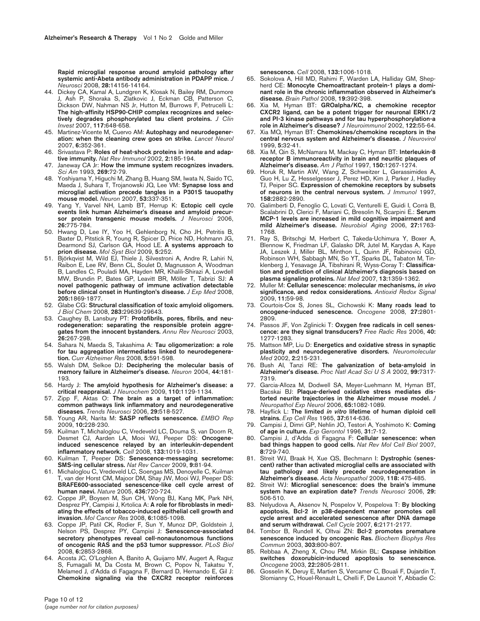**Rapid microglial response around amyloid pathology after systemic anti-Abeta antibody administration in PDAPP mice.** *J Neurosci* 2008, **28:**14156-14164.

- 44. Dickey CA, Kamal A, Lundgren K, Klosak N, Bailey RM, Dunmore Ash P, Shoraka S, Zlatkovic J, Eckman CB, Patterson C, Dickson DW, Nahman NS Jr, Hutton M, Burrows F, Petrucelli L: **The high-affinity HSP90-CHIP complex recognizes and selectively degrades phosphorylated tau client proteins.** *J Clin Invest* 2007, **117:**648-658.
- 45. Martinez-Vicente M, Cuervo AM: **Autophagy and neurodegeneration: when the cleaning crew goes on strike.** *Lancet Neurol* 2007, **6:**352-361.
- 46. Srivastava P: **Roles of heat-shock proteins in innate and adaptive immunity.** *Nat Rev Immunol* 2002, **2:**185-194.
- 47. Janeway CA Jr: **How the immune system recognizes invaders.** *Sci Am* 1993, **269:**72-79.
- 48. Yoshiyama Y, Higuchi M, Zhang B, Huang SM, Iwata N, Saido TC, Maeda J, Suhara T, Trojanowski JQ, Lee VM: **Synapse loss and microglial activation precede tangles in a P301S tauopathy mouse model.** *Neuron* 2007, **53:**337-351.
- 49. Yang Y, Varvel NH, Lamb BT, Herrup K: **Ectopic cell cycle events link human Alzheimer's disease and amyloid precursor protein transgenic mouse models.** *J Neurosci* 2006, **26:**775-784.
- 50. Hwang D, Lee IY, Yoo H, Gehlenborg N, Cho JH, Petritis B, Baxter D, Pitstick R, Young R, Spicer D, Price ND, Hohmann JG, Dearmond SJ, Carlson GA, Hood LE. **A systems approach to prion disease.** *Mol Syst Biol* 2009, **5:**252.
- 51. Björkqvist M, Wild EJ, Thiele J, Silvestroni A, Andre R, Lahiri N, Raibon E, Lee RV, Benn CL, Soulet D, Magnusson A, Woodman B, Landles C, Pouladi MA, Hayden MR, Khalili-Shirazi A, Lowdell MW, Brundin P, Bates GP, Leavitt BR, Möller T, Tabrizi SJ: **A novel pathogenic pathway of immune activation detectable before clinical onset in Huntington's disease.** *J Exp Med* 2008, **205:**1869-1877.
- 52. Glabe CG: **Structural classification of toxic amyloid oligomers.** *J Biol Chem* 2008, **283:**29639-29643.
- 53. Caughey B, Lansbury PT: **Protofibrils, pores, fibrils, and neurodegeneration: separating the responsible protein aggregates from the innocent bystanders.** *Annu Rev Neurosci* 2003, **26:**267-298.
- 54. Sahara N, Maeda S, Takashima A: **Tau oligomerization: a role for tau aggregation intermediates linked to neurodegeneration.** *Curr Alzheimer Res* 2008, **5:**591-598.
- 55. Walsh DM, Selkoe DJ: **Deciphering the molecular basis of memory failure in Alzheimer's disease.** *Neuron* 2004, **44:**181- 193.
- 56. Hardy J: **The amyloid hypothesis for Alzheimer's disease: a critical reappraisal.** *J Neurochem* 2009, **110:**1129-1134.
- 57. Zipp F, Aktas O: **The brain as a target of inflammation: common pathways link inflammatory and neurodegenerative diseases.** *Trends Neurosci* 2006, **29:**518-527.
- 58. Young AR, Narita M: **SASP reflects senescence.** *EMBO Rep* 2009, **10:**228-230.
- 59. Kuilman T, Michaloglou C, Vredeveld LC, Douma S, van Doorn R, Desmet CJ, Aarden LA, Mooi WJ, Peeper DS: **Oncogeneinduced senescence relayed by an interleukin-dependent inflammatory network.** *Cell* 2008, **133:**1019-1031.
- 60. Kuilman T, Peeper DS: **Senescence-messaging secretome: SMS-ing cellular stress.** *Nat Rev Cancer* 2009, **9:**81-94.
- 61. Michaloglou C, Vredeveld LC, Soengas MS, Denoyelle C, Kuilman T, van der Horst CM, Majoor DM, Shay JW, Mooi WJ, Peeper DS: **BRAFE600-associated senescence-like cell cycle arrest of human naevi.** *Nature* 2005, **436:**720-724.
- 62. Coppe JP, Boysen M, Sun CH, Wong BJ, Kang MK, Park NH, Desprez PY, Campisi J, Krtolica A: **A role for fibroblasts in mediating the effects of tobacco-induced epithelial cell growth and invasion.** *Mol Cancer Res* 2008, **6:**1085-1098.
- 63. Coppe JP, Patil CK, Rodier F, Sun Y, Munoz DP, Goldstein J, Nelson PS, Desprez PY, Campisi J: **Senescence-associated secretory phenotypes reveal cell-nonautonomous functions of oncogenic RAS and the p53 tumor suppressor.** *PLoS Biol* 2008, **6:**2853-2868.
- 64. Acosta JC, O'Loghlen A, Banito A, Guijarro MV, Augert A, Raguz S, Fumagalli M, Da Costa M, Brown C, Popov N, Takatsu Y, Melamed J, d'Adda di Fagagna F, Bernard D, Hernando E, Gil J: **Chemokine signaling via the CXCR2 receptor reinforces**

**senescence.** *Cell* 2008, **133:**1006-1018.

- 65. Sokolova A, Hill MD, Rahimi F, Warden LA, Halliday GM, Shepherd CE: **Monocyte Chemoattractant protein-1 plays a dominant role in the chronic inflammation observed in Alzheimer's disease.** *Brain Pathol* 2008, **19:**392-398.
- 66. Xia M, Hyman BT: **GROalpha/KC, a chemokine receptor CXCR2 ligand, can be a potent trigger for neuronal ERK1/2 and PI-3 kinase pathways and for tau hyperphosphorylation-a role in Alzheimer's disease?** *J Neuroimmunol* 2002, **122:**55-64.
- 67. Xia MQ, Hyman BT: **Chemokines/chemokine receptors in the central nervous system and Alzheimer's disease.** *J Neurovirol* 1999, **5:**32-41.
- 68. Xia M, Qin S, McNamara M, Mackay C, Hyman BT: **Interleukin-8 receptor B immunoreactivity in brain and neuritic plaques of Alzheimer's disease.** *Am J Pathol* 1997, **150:**1267-1274.
- 69. Horuk R, Martin AW, Wang Z, Schweitzer L, Gerassimides A, Guo H, Lu Z, Hesselgesser J, Perez HD, Kim J, Parker J, Hadley TJ, Peiper SC. **Expression of chemokine receptors by subsets of neurons in the central nervous system.** *J Immunol* 1997, **158:**2882-2890.
- 70. Galimberti D, Fenoglio C, Lovati C, Venturelli E, Guidi I, Corrà B, Scalabrini D, Clerici F, Mariani C, Bresolin N, Scarpini E.: **Serum MCP-1 levels are increased in mild cognitive impairment and mild Alzheimer's disease.** *Neurobiol Aging* 2006, **27:**1763- 1768.
- 71. Ray S, Britschgi M, Herbert C, Takeda-Uchimura Y, Boxer A, Blennow K, Friedman LF, Galasko DR, Jutel M, Karydas A, Kaye JA, Leszek J, Miller BL, Minthon L, Quinn JF, Rabinovici GD, Robinson WH, Sabbagh MN, So YT, Sparks DL, Tabaton M, Tinklenberg J, Yesavage JA, Tibshirani R, Wyss-Coray T: **Classification and prediction of clinical Alzheimer's diagnosis based on plasma signaling proteins.** *Nat Med* 2007, **13:**1359-1362.
- 72. Muller M: **Cellular senescence: molecular mechanisms,** *in vivo* **significance, and redox considerations.** *Antioxid Redox Signal* 2009, **11:**59-98.
- 73. Courtois-Cox S, Jones SL, Cichowski K: **Many roads lead to oncogene-induced senescence.** *Oncogene* 2008, **27:**2801- 2809.
- 74. Passos JF, Von Zglinicki T: **Oxygen free radicals in cell senescence: are they signal transducers?** *Free Radic Res* 2006, **40:** 1277-1283.
- 75. Mattson MP, Liu D: **Energetics and oxidative stress in synaptic plasticity and neurodegenerative disorders.** *Neuromolecular Med* 2002, **2:**215-231.
- 76. Bush AI, Tanzi RE: **The galvanization of beta-amyloid in Alzheimer's disease.** *Proc Natl Acad Sci U S A* 2002, **99:**7317- 7319.
- 77. Garcia-Alloza M, Dodwell SA, Meyer-Luehmann M, Hyman BT, Bacskai BJ: **Plaque-derived oxidative stress mediates distorted neurite trajectories in the Alzheimer mouse model.** *J Neuropathol Exp Neurol* 2006, **65:**1082-1089.
- 78. Hayflick L: **The limited** *in vitro* **lifetime of human diploid cell strains.** *Exp Cell Res* 1965, **37:**614-636.
- 79. Campisi J, Dimri GP, Nehlin JO, Testori A, Yoshimoto K: **Coming of age in culture.** *Exp Gerontol* 1996, **31:**7-12.
- 80. Campisi J, d'Adda di Fagagna F: **Cellular senescence: when bad things happen to good cells.** *Nat Rev Mol Cell Biol* 2007, **8:**729-740.
- 81. Streit WJ, Braak H, Xue QS, Bechmann I: **Dystrophic (senescent) rather than activated microglial cells are associated with tau pathology and likely precede neurodegeneration in Alzheimer's disease.** *Acta Neuropathol* 2009, **118:** 475-485.
- 82. Streit WJ: **Microglial senescence: does the brain's immune system have an expiration date?** *Trends Neurosci* 2006, **29:** 506-510.
- 83. Nelyudova A, Aksenov N, Pospelov V, Pospelova T: **By blocking apoptosis, Bcl-2 in p38-dependent manner promotes cell cycle arrest and accelerated senescence after DNA damage and serum withdrawal.** *Cell Cycle* 2007, **6:**2171-2177.
- 84. Tombor B, Rundell K, Oltvai ZN: **Bcl-2 promotes premature senescence induced by oncogenic Ras.** *Biochem Biophys Res Commun* 2003, **303:**800-807.
- 85. Rebbaa A, Zheng X, Chou PM, Mirkin BL: **Caspase inhibition switches doxorubicin-induced apoptosis to senescence.** *Oncogene* 2003, **22:**2805-2811.
- 86. Gosselin K, Deruy E, Martien S, Vercamer C, Bouali F, Dujardin T, Slomianny C, Houel-Renault L, Chelli F, De Launoit Y, Abbadie C: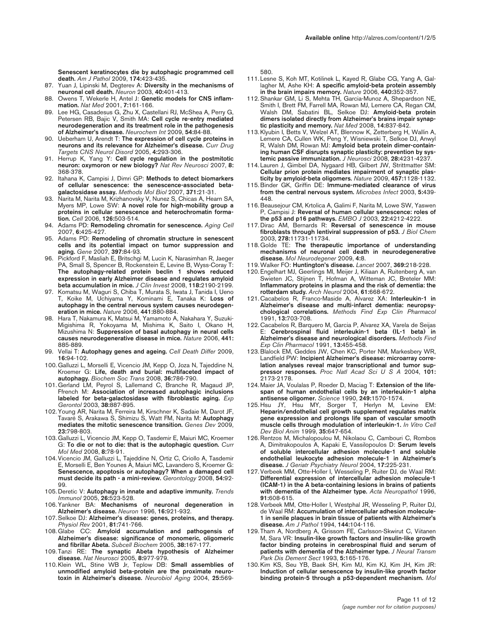**Senescent keratinocytes die by autophagic programmed cell death.** *Am J Pathol* 2009, **174:**423-435.

- 87. Yuan J, Lipinski M, Degterev A: **Diversity in the mechanisms of neuronal cell death.** *Neuron* 2003, **40:**401-413.
- 88. Owens T, Wekerle H, Antel J: **Genetic models for CNS inflammation.** *Nat Med* 2001, **7:**161-166.
- 89. Lee HG, Casadesus G, Zhu X, Castellani RJ, McShea A, Perry G, Petersen RB, Bajic V, Smith MA: **Cell cycle re-entry mediated neurodegeneration and its treatment role in the pathogenesis of Alzheimer's disease.** *Neurochem Int* 2009, **54:**84-88.
- 90. Ueberham U, Arendt T: **The expression of cell cycle proteins in neurons and its relevance for Alzheimer's disease.** *Curr Drug Targets CNS Neurol Disord* 2005, **4:**293-306.
- 91. Herrup K, Yang Y: **Cell cycle regulation in the postmitotic neuron: oxymoron or new biology?** *Nat Rev Neurosci* 2007, **8:** 368-378.
- 92. Itahana K, Campisi J, Dimri GP: **Methods to detect biomarkers of cellular senescence: the senescence-associated betagalactosidase assay.** *Methods Mol Biol* 2007, **371:**21-31.
- 93. Narita M, Narita M, Krizhanovsky V, Nunez S, Chicas A, Hearn SA, Myers MP, Lowe SW: **A novel role for high-mobility group a proteins in cellular senescence and heterochromatin formation.** *Cell* 2006, **126:**503-514.
- 94. Adams PD: **Remodeling chromatin for senescence.** *Aging Cell* 2007, **6:**425-427.
- 95. Adams PD: **Remodeling of chromatin structure in senescent cells and its potential impact on tumor suppression and aging.** *Gene* 2007, **397:**84-93.
- 96. Pickford F, Masliah E, Britschgi M, Lucin K, Narasimhan R, Jaeger PA, Small S, Spencer B, Rockenstein E, Levine B, Wyss-Coray T: **The autophagy-related protein beclin 1 shows reduced expression in early Alzheimer disease and regulates amyloid beta accumulation in mice.** *J Clin Invest* 2008, **118:**2190-2199.
- 97. Komatsu M, Waguri S, Chiba T, Murata S, Iwata J, Tanida I, Ueno T, Koike M, Uchiyama Y, Kominami E, Tanaka K: **Loss of autophagy in the central nervous system causes neurodegeneration in mice.** *Nature* 2006, **441:**880-884.
- 98. Hara T, Nakamura K, Matsui M, Yamamoto A, Nakahara Y, Suzuki-Migishima R, Yokoyama M, Mishima K, Saito I, Okano H, Mizushima N: **Suppression of basal autophagy in neural cells causes neurodegenerative disease in mice.** *Nature* 2006, **441:** 885-889.
- 99. Vellai T: **Autophagy genes and ageing.** *Cell Death Differ* 2009, **16:**94-102.
- 100. Galluzzi L, Morselli E, Vicencio JM, Kepp O, Joza N, Tajeddine N, Kroemer G: **Life, death and burial: multifaceted impact of autophagy.** *Biochem Soc Trans* 2008, **36:**786-790.
- 101. Gerland LM, Peyrol S, Lallemand C, Branche R, Magaud JP, Ffrench M: **Association of increased autophagic inclusions labeled for beta-galactosidase with fibroblastic aging.** *Exp Gerontol* 2003, **38:**887-895.
- 102. Young AR, Narita M, Ferreira M, Kirschner K, Sadaie M, Darot JF, Tavaré S, Arakawa S, Shimizu S, Watt FM, Narita M: **Autophagy mediates the mitotic senescence transition.** *Genes Dev* 2009, **23:**798-803.
- 103. Galluzzi L, Vicencio JM, Kepp O, Tasdemir E, Maiuri MC, Kroemer G: **To die or not to die: that is the autophagic question.** *Curr Mol Med* 2008, **8:**78-91.
- 104. Vicencio JM, Galluzzi L, Tajeddine N, Ortiz C, Criollo A, Tasdemir E, Morselli E, Ben Younes A, Maiuri MC, Lavandero S, Kroemer G: **Senescence, apoptosis or autophagy? When a damaged cell must decide its path - a mini-review.** *Gerontology* 2008, **54:**92- 99.
- 105. Deretic V: **Autophagy in innate and adaptive immunity.** *Trends Immunol* 2005, **26:**523-528.
- 106. Yankner BA: **Mechanisms of neuronal degeneration in Alzheimer's disease.** *Neuron* 1996, **16:**921-932.
- 107. Selkoe DJ: **Alzheimer's disease: genes, proteins, and therapy.** *Physiol Rev* 2001, **81:**741-766.
- 108. Glabe CC: **Amyloid accumulation and pathogensis of Alzheimer's disease: significance of monomeric, oligomeric and fibrillar Abeta.** *Subcell Biochem* 2005, **38:**167-177.
- 109. Tanzi RE: **The synaptic Abeta hypothesis of Alzheimer disease.** *Nat Neurosci* 2005, **8:**977-979.
- 110. Klein WL, Stine WB Jr, Teplow DB: **Small assemblies of unmodified amyloid beta-protein are the proximate neurotoxin in Alzheimer's disease.** *Neurobiol Aging* 2004, **25:**569-

580.

- 111. Lesne S, Koh MT, Kotilinek L, Kayed R, Glabe CG, Yang A, Gallagher M, Ashe KH: **A specific amyloid-beta protein assembly in the brain impairs memory.** *Nature* 2006, **440:**352-357.
- 112. Shankar GM, Li S, Mehta TH, Garcia-Munoz A, Shepardson NE, Smith I, Brett FM, Farrell MA, Rowan MJ, Lemere CA, Regan CM, Walsh DM, Sabatini BL, Selkoe DJ: **Amyloid-beta protein dimers isolated directly from Alzheimer's brains impair synaptic plasticity and memory.** *Nat Med* 2008, **14:**837-842.
- 113. Klyubin I, Betts V, Welzel AT, Blennow K, Zetterberg H, Wallin A, Lemere CA, Cullen WK, Peng Y, Wisniewski T, Selkoe DJ, Anwyl R, Walsh DM, Rowan MJ: **Amyloid beta protein dimer-containing human CSF disrupts synaptic plasticity: prevention by systemic passive immunization.** *J Neurosci* 2008, **28:**4231-4237.
- 114. Lauren J, Gimbel DA, Nygaard HB, Gilbert JW, Strittmatter SM: **Cellular prion protein mediates impairment of synaptic plasticity by amyloid-beta oligomers.** *Nature* 2009, **457:**1128-1132.
- 115. Binder GK, Griffin DE: **Immune-mediated clearance of virus from the central nervous system.** *Microbes Infect* 2003, **5:**439- 448.
- 116. Beausejour CM, Krtolica A, Galimi F, Narita M, Lowe SW, Yaswen P, Campisi J: **Reversal of human cellular senescence: roles of the p53 and p16 pathways.** *EMBO J* 2003, **22:**4212-4222.
- 117. Dirac AM, Bernards R: **Reversal of senescence in mouse fibroblasts through lentiviral suppression of p53.** *J Biol Chem* 2003, **278:**11731-11734.
- 118. Golde TE: **The therapeutic importance of understanding mechanisms of neuronal cell death in neurodegenerative disease.** *Mol Neurodegener* 2009, **4:**8.
- 119. Walker FO: **Huntington's disease.** *Lancet* 2007, **369:**218-228.
- 120. Engelhart MJ, Geerlings MI, Meijer J, Kiliaan A, Ruitenberg A, van Swieten JC, Stijnen T, Hofman A, Witteman JC, Breteler MM: **Inflammatory proteins in plasma and the risk of dementia: the rotterdam study.** *Arch Neurol* 2004, **61:**668-672.
- 121. Cacabelos R, Franco-Maside A, Alvarez XA: **Interleukin-1 in Alzheimer's disease and multi-infarct dementia: neuropsychological correlations.** *Methods Find Exp Clin Pharmacol* 1991, **13:**703-708.
- 122. Cacabelos R, Barquero M, Garcia P, Alvarez XA, Varela de Seijas E: **Cerebrospinal fluid interleukin-1 beta (IL-1 beta) in Alzheimer's disease and neurological disorders.** *Methods Find Exp Clin Pharmacol* 1991, **13:**455-458.
- 123. Blalock EM, Geddes JW, Chen KC, Porter NM, Markesbery WR, Landfield PW: **Incipient Alzheimer's disease: microarray correlation analyses reveal major transcriptional and tumor suppressor responses.** *Proc Natl Acad Sci U S A* 2004, **101:** 2173-2178.
- 124. Maier JA, Voulalas P, Roeder D, Maciag T: **Extension of the lifespan of human endothelial cells by an interleukin-1 alpha antisense oligomer.** *Science* 1990, **249:**1570-1574.
- 125. Hsu JY, Hsu MY, Sorger T, Herlyn M, Levine EM: **Heparin/endothelial cell growth supplement regulates matrix gene expression and prolongs life span of vascular smooth muscle cells through modulation of interleukin-1.** *In Vitro Cell Dev Biol Anim* 1999, **35:**647-654.
- 126. Rentzos M, Michalopoulou M, Nikolaou C, Cambouri C, Rombos A, Dimitrakopoulos A, Kapaki E, Vassilopoulos D: **Serum levels of soluble intercellular adhesion molecule-1 and soluble endothelial leukocyte adhesion molecule-1 in Alzheimer's disease.** *J Geriatr Psychiatry Neurol* 2004, **17:**225-231.
- 127. Verbeek MM, Otte-Holler I, Wesseling P, Ruiter DJ, de Waal RM: **Differential expression of intercellular adhesion molecule-1 (ICAM-1) in the A beta-containing lesions in brains of patients with dementia of the Alzheimer type.** *Acta Neuropathol* 1996, **91:**608-615.
- 128. Verbeek MM, Otte-Holler I, Westphal JR, Wesseling P, Ruiter DJ, de Waal RM: **Accumulation of intercellular adhesion molecule-1 in senile plaques in brain tissue of patients with Alzheimer's disease.** *Am J Pathol* 1994, **144:**104-116.
- 129. Tham A, Nordberg A, Grissom FE, Carlsson-Skwirut C, Viitanen M, Sara VR: **Insulin-like growth factors and insulin-like growth factor binding proteins in cerebrospinal fluid and serum of patients with dementia of the Alzheimer type.** *J Neural Transm Park Dis Dement Sect* 1993, **5:**165-176.
- 130. Kim KS, Seu YB, Baek SH, Kim MJ, Kim KJ, Kim JH, Kim JR: **Induction of cellular senescence by insulin-like growth factor binding protein-5 through a p53-dependent mechanism.** *Mol*